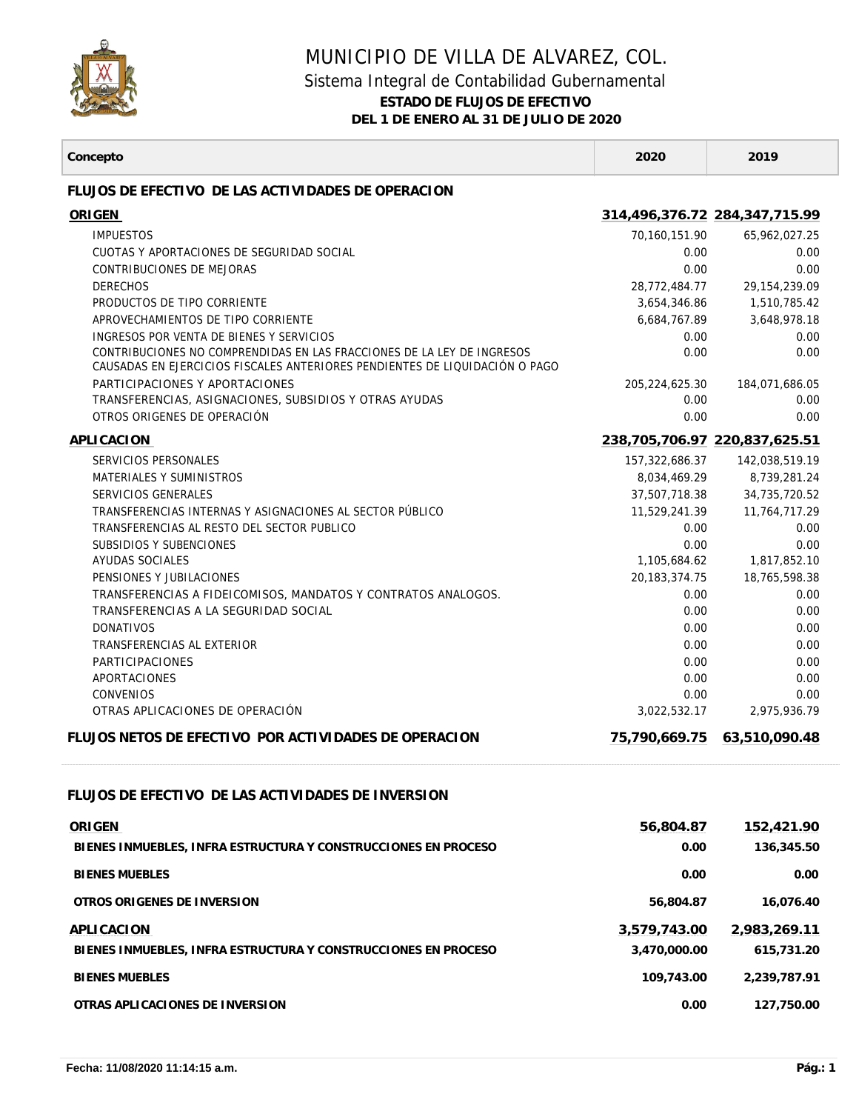

## MUNICIPIO DE VILLA DE ALVAREZ, COL.

## Sistema Integral de Contabilidad Gubernamental

**ESTADO DE FLUJOS DE EFECTIVO**

**DEL 1 DE ENERO AL 31 DE JULIO DE 2020**

T

| Concepto                                                                                                                                              | 2020                          | 2019                          |
|-------------------------------------------------------------------------------------------------------------------------------------------------------|-------------------------------|-------------------------------|
| FLUJOS DE EFECTIVO DE LAS ACTIVIDADES DE OPERACION                                                                                                    |                               |                               |
| ORIGEN                                                                                                                                                |                               | 314,496,376.72 284,347,715.99 |
| <b>IMPUESTOS</b>                                                                                                                                      | 70,160,151.90                 | 65,962,027.25                 |
| CUOTAS Y APORTACIONES DE SEGURIDAD SOCIAL                                                                                                             | 0.00                          | 0.00                          |
| CONTRIBUCIONES DE MEJORAS                                                                                                                             | 0.00                          | 0.00                          |
| <b>DERECHOS</b>                                                                                                                                       | 28,772,484.77                 | 29, 154, 239.09               |
| PRODUCTOS DE TIPO CORRIENTE                                                                                                                           | 3,654,346.86                  | 1,510,785.42                  |
| APROVECHAMIENTOS DE TIPO CORRIENTE                                                                                                                    | 6,684,767.89                  | 3,648,978.18                  |
| INGRESOS POR VENTA DE BIENES Y SERVICIOS                                                                                                              | 0.00                          | 0.00                          |
| CONTRIBUCIONES NO COMPRENDIDAS EN LAS FRACCIONES DE LA LEY DE INGRESOS<br>CAUSADAS EN EJERCICIOS FISCALES ANTERIORES PENDIENTES DE LIQUIDACIÓN O PAGO | 0.00                          | 0.00                          |
| PARTICIPACIONES Y APORTACIONES                                                                                                                        | 205,224,625.30                | 184,071,686.05                |
| TRANSFERENCIAS, ASIGNACIONES, SUBSIDIOS Y OTRAS AYUDAS                                                                                                | 0.00                          | 0.00                          |
| OTROS ORIGENES DE OPERACIÓN                                                                                                                           | 0.00                          | 0.00                          |
| APLICACION                                                                                                                                            | 238,705,706.97 220,837,625.51 |                               |
| SERVICIOS PERSONALES                                                                                                                                  | 157,322,686.37                | 142,038,519.19                |
| MATERIALES Y SUMINISTROS                                                                                                                              | 8,034,469.29                  | 8,739,281.24                  |
| SERVICIOS GENERALES                                                                                                                                   | 37,507,718.38                 | 34,735,720.52                 |
| TRANSFERENCIAS INTERNAS Y ASIGNACIONES AL SECTOR PÚBLICO                                                                                              | 11,529,241.39                 | 11,764,717.29                 |
| TRANSFERENCIAS AL RESTO DEL SECTOR PUBLICO                                                                                                            | 0.00                          | 0.00                          |
| SUBSIDIOS Y SUBENCIONES                                                                                                                               | 0.00                          | 0.00                          |
| AYUDAS SOCIALES<br>PENSIONES Y JUBILACIONES                                                                                                           | 1,105,684.62                  | 1,817,852.10                  |
| TRANSFERENCIAS A FIDEICOMISOS, MANDATOS Y CONTRATOS ANALOGOS.                                                                                         | 20,183,374.75<br>0.00         | 18,765,598.38<br>0.00         |
| TRANSFERENCIAS A LA SEGURIDAD SOCIAL                                                                                                                  | 0.00                          | 0.00                          |
| <b>DONATIVOS</b>                                                                                                                                      | 0.00                          | 0.00                          |
| TRANSFERENCIAS AL EXTERIOR                                                                                                                            | 0.00                          | 0.00                          |
| <b>PARTICIPACIONES</b>                                                                                                                                | 0.00                          | 0.00                          |
| APORTACIONES                                                                                                                                          | 0.00                          | 0.00                          |
| <b>CONVENIOS</b>                                                                                                                                      | 0.00                          | 0.00                          |
| OTRAS APLICACIONES DE OPERACIÓN                                                                                                                       | 3,022,532.17                  | 2,975,936.79                  |
| FLUJOS NETOS DE EFECTIVO POR ACTIVIDADES DE OPERACION                                                                                                 | 75,790,669.75                 | 63,510,090.48                 |
| FLUJOS DE EFECTIVO DE LAS ACTIVIDADES DE INVERSION                                                                                                    |                               |                               |
| ORIGEN                                                                                                                                                | 56,804.87                     | 152,421.90                    |
| BIENES INMUEBLES, INFRA ESTRUCTURA Y CONSTRUCCIONES EN PROCESO                                                                                        | 0.00                          | 136,345.50                    |
| <b>BIENES MUEBLES</b>                                                                                                                                 | 0.00                          | 0.00                          |
| OTROS ORIGENES DE INVERSION                                                                                                                           | 56,804.87                     | 16,076.40                     |
| APLICACION                                                                                                                                            | 3,579,743.00                  | 2,983,269.11                  |
| BIENES INMUEBLES, INFRA ESTRUCTURA Y CONSTRUCCIONES EN PROCESO                                                                                        | 3,470,000.00                  | 615,731.20                    |
| <b>BIENES MUEBLES</b>                                                                                                                                 | 109,743.00                    | 2,239,787.91                  |
| OTRAS APLICACIONES DE INVERSION                                                                                                                       | 0.00                          | 127,750.00                    |
|                                                                                                                                                       |                               |                               |